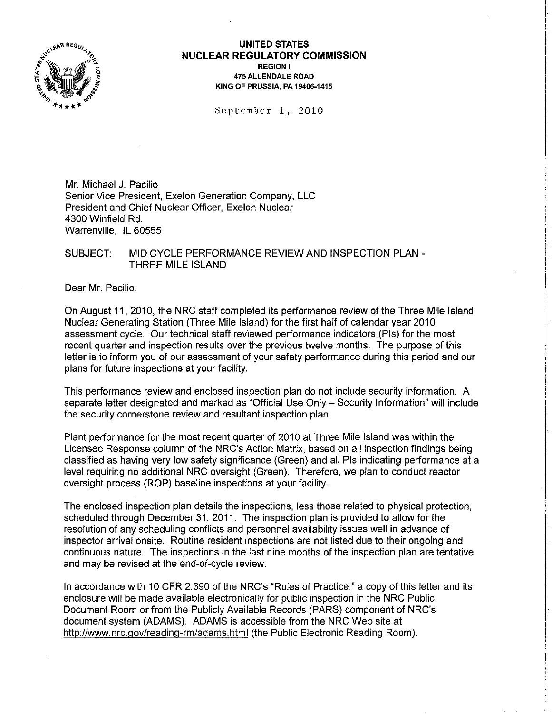

## **UNITED STATES NUCLEAR REGULATORY COMMISSION**  REGION I 475 ALLENDALE ROAD KING OF PRUSSIA, PA 19406-1415

September 1, 2010

Mr. Michael J. Pacilio Senior Vice President, Exelon Generation Company, LLC President and Chief Nuclear Officer, Exelon Nuclear 4300 Winfield Rd. Warrenville, IL 60555

SUBJECT: MID CYCLE PERFORMANCE REVIEW AND INSPECTION PLAN - THREE MILE ISLAND

Dear Mr. Pacilio:

On August 11, 2010, the NRC staff completed its performance review of the Three Mile Island Nuclear Generating Station (Three Mile Island) for the first half of calendar year 2010 assessment cycle. Our technical staff reviewed performance indicators (Pis) for the most recent quarter and inspection results over the previous twelve months. The purpose of this letter is to inform you of our assessment of your safety performance during this period and our plans for future inspections at your facility.

This performance review and enclosed inspection plan do not include security information. A separate letter designated and marked as "Official Use Only - Security Information" will include the security cornerstone review and resultant inspection plan.

Plant performance for the most recent quarter of 2010 at Three Mile Island was within the Licensee Response column of the NRC's Action Matrix, based on all inspection findings being classified as having very low safety significance (Green) and all Pis indicating performance at a level requiring no additional NRC oversight (Green). Therefore, we plan to conduct reactor oversight process (ROP) baseline inspections at your facility.

The enclosed inspection plan details the inspections, less those related to physical protection, scheduled through December 31, 2011. The inspection plan is provided to allow for the resolution of any scheduling conflicts and personnel availability issues well in advance of inspector arrival onsite. Routine resident inspections are not listed due to their ongoing and continuous nature. The inspections in the last nine months of the inspection plan are tentative and may be revised at the end-of-cycle review.

In accordance with 10 CFR 2.390 of the NRC's "Rules of Practice," a copy of this letter and its enclosure will be made available electronically for public inspection in the NRC Public Document Room or from the Publicly Available Records (PARS) component of NRC's document system (ADAMS). ADAMS is accessible from the NRC Web site at http://www.nrc.gov/reading-rm/adams.html(the Public Electronic Reading Room).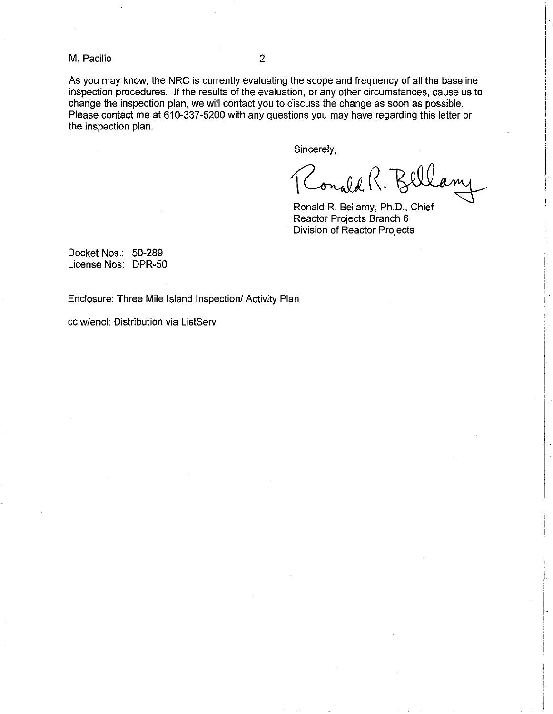M. Pacilio 2

As you may know, the NRC is currently evaluating the scope and frequency of all the baseline inspection procedures. If the results of the evaluation, or any other circumstances, cause us to change the inspection plan, we will contact you to discuss the change as soon as possible. Please contact me at 610-337-5200 with any questions you may have regarding this letter or the inspection plan.

Sincerely,

Conald R. Bl

Ronald R. Bellamy, Ph.D., Chief Reactor Projects Branch 6 Division of Reactor Projects

Docket Nos.: 50-289 License Nos: DPR-50

Enclosure: Three Mile Island Inspection/ Activity Plan

cc w/encl: Distribution via ListServ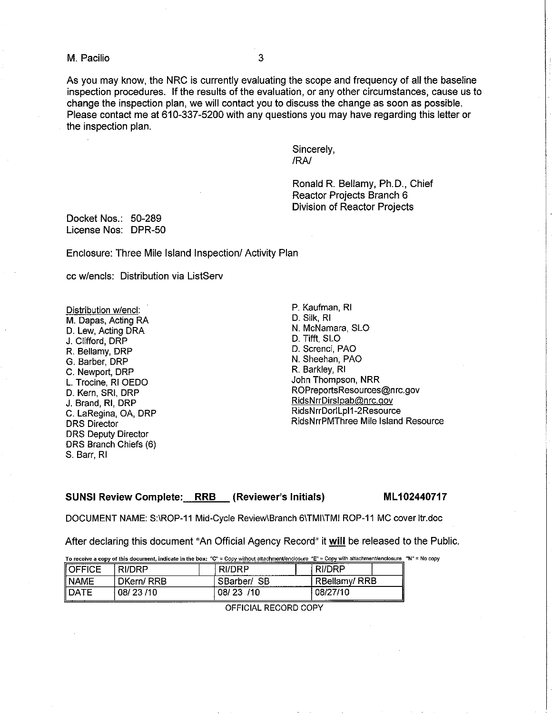M. Pacilio 3

As you may know, the NRC is currently evaluating the scope and frequency of all the baseline inspection procedures. If the results of the evaluation, or any other circumstances, cause us to change the inspection plan, we will contact you to discuss the change as soon as possible. Please contact me at 610-337-5200 with any questions you may have regarding this letter or the inspection plan.

> Sincerely, IRA!

Ronald R. Bellamy, Ph.D., Chief Reactor Projects Branch 6 Division of Reactor Projects

Docket Nos.: 50-289 License Nos: DPR-50

Enclosure: Three Mile Island Inspection/ Activity Plan

cc w/encls: Distribution via ListServ

Distribution w/encl: M. Dapas, Acting RA D. Lew, Acting DRA J. Clifford, DRP R. Bellamy, DRP G. Barber, DRP C. Newport, DRP L. Trocine, RI OEDO D. Kern, SRI, DRP J. Brand, RI, DRP C. LaRegina, OA, DRP DRS Director DRS Deputy Director DRS Branch Chiefs (6) S. Barr, RI

P. Kaufman, RI D. Silk, RI N. McNamara, SLO D. Tifft, SLO D. Screnci, PAO N. Sheehan, PAO R. Barkley, RI John Thompson, NRR ROPreportsResources@nrc.gov RidsNrrDirslpab@nrc.gov RidsNrrDorlLpl1-2Resource RidsNrrPMThree Mile Island Resource

SUNSI Review Complete: \_\_RRB \_\_ (Reviewer's Initials) \_\_\_\_\_\_\_\_\_\_ML102440717

DOCUMENT NAME: S:IROP-11 Mid-Cycle ReviewlBranch 61TMIITMI ROP-11 MC cover Itr.doc

After declaring this document "An Official Agency Record" it will be released to the Public.

To receive a copy of this document, indicate in the box: "C" = Copy without attachment/enclosure "E" = Copy with attachment/enclosure "N" = No copy

| <b>I OFFICE</b> | <b>RI/DRP</b> | RI/DRP<br>_________________________________ | RI/DRP               |
|-----------------|---------------|---------------------------------------------|----------------------|
| NAME            | DKern/RRB     | SB<br>SBarber/                              | RBellamy/RRB         |
| <b>DATE</b>     | 08/23/10      | /10<br>08/<br>-23                           | 08/27/10<br>$-1 - 1$ |

OFFICIAL RECORD COPY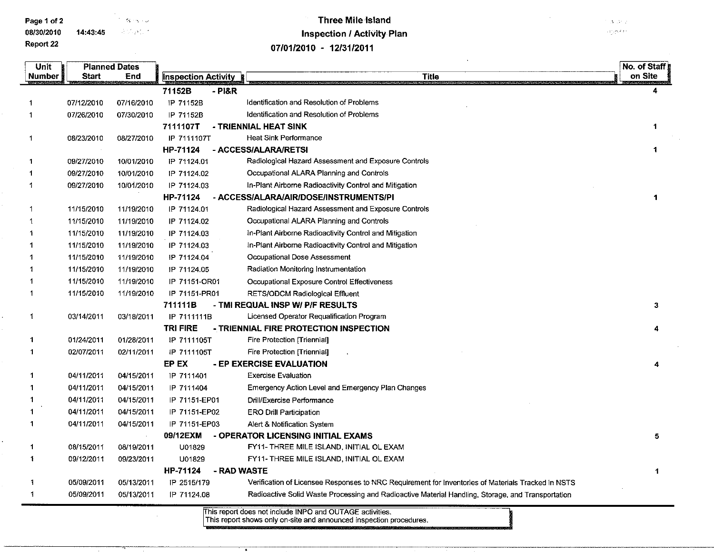Page 1 of 2 The Second Second Second Second Second Second Second Second Second Second Second Second Second Second Second Second Second Second Second Second Second Second Second Second Second Second Second Second Second Sec 0813012010 14:43:45 高频度检查

Planned Dates

## Three Mile Island Inspection 1 Activity Plan 07/01/2010 - 12/31/2011

 $3.121$ on existin

No. of Staff

3

4

4

5

1

**Number** Start End **Inspection Activity Title** on Site 711526 -PI&R 4 0711212010 0711612010 IP 711528 Identification and Resolution of Problems  $\ddot{\phantom{0}}$  $\overline{1}$ 0712612010 0713012010 IP 71152B Identification and Resolution of Problems 7111107T - TRIENNIAL HEAT SINK  $\blacktriangleleft$ IP 7111107T Heat Sink Performance  $\blacktriangleleft$ 0812312010 0812712010 HP-71124 - ACCESS/ALARA/RETSI 1  $\ddot{\mathbf{1}}$ 0912712010 1010112010 IP 71124.01 Radiological Hazard Assessment and Exposure Controls Occupational ALARA Planning and Controls 0912712010 1010112010 IP 71124.02  $\blacktriangleleft$ IP 71124.03 In-Plant Airborne Radioactivity Control and Mitigation -1 0912712010 1010112010 HP-71124 - ACCESS/ALARAfAIRlDOSElINSTRUMENTS/PI 1 1111512010 1111912010 IP 71124.01 Radiological Hazard Assessment and Exposure Controls  $\blacktriangleleft$ Occupational ALARA Planning and Controls 1111512010 1111912010 IP 71124.02 1 1111512010 1111912010 IP 71124.03 In-Plant Airborne Radioactivity Control and Mitigation  $\blacktriangleleft$ 1111512010 1111912010 IP 71124.03 In-Plant Airborne Radioactivity Control and Mitigation 1111512010 1111912010 IP 71124.04 Occupational Dose Assessment -1 1 1111512010 1111912010 IP 71124.05 Radiation Monitoring Instrumentation 1111512010 1111912010 IP 71151-0R01 Occupational Exposure Control Effectiveness -1 1111512010 1111912010 IP 71151-PR01 RETSIODCM Radiological Effluent  $\overline{1}$ 711111B - TMI REQUAL INSP W/ P/F RESULTS 1 0311412011 0311812011 IP 7111111 B Licensed Operator Requalification Program TRI FIRE - TRIENNIAL FIRE PROTECTION INSPECTION -1 0112412011 0112812011 IP 7111105T Fire Protection [Triennial]  $\overline{1}$ 0210712011 0211112011 IP 7111105T Fire Protection ITriennial EP EX - EP EXERCISE EVALUATION 0411112011 0411512011 IP 7111401 Exercise Evaluation 0411112011 0411512011 IP 7111404 Emergency Action Level and Emergency Plan Changes 1 0411112011 0411512011 IP 71151-EP01 Drill/Exercise Performance 0411112011 0411512011 IP 71151-EP02 ERO Drill Participation 0411112011 0411512011 1 IP 71151-EP03 Alert & Notification System 09/12EXM - OPERATOR LICENSING INITIAL EXAMS  $\overline{\mathbf{1}}$ 0811512011 0811912011 U01829 FY11- THREE MILE ISLAND, INITIAL OL EXAM  $\blacktriangleleft$ 0911212011 0912312011 U01829 FY11- THREE MILE ISLAND, INITIAL OL EXAM HP-71124 - RAD WASTE 0510912011 0511312011 IP 25151179 Verification of Licensee Responses to NRC Requirement for Inventories of Materials Tracked in NSTS  $\mathbf{1}$ 0510912011 0511312011  $\overline{1}$ IP 71124.08 Radioactive Solid Waste Processing and Radioactive Material Handling. Storage. and Transportation

> his report does not include INPO and OUTAGE activities. This report shows only on-site and announced inspection procedures.

**Unit** 

Report 22